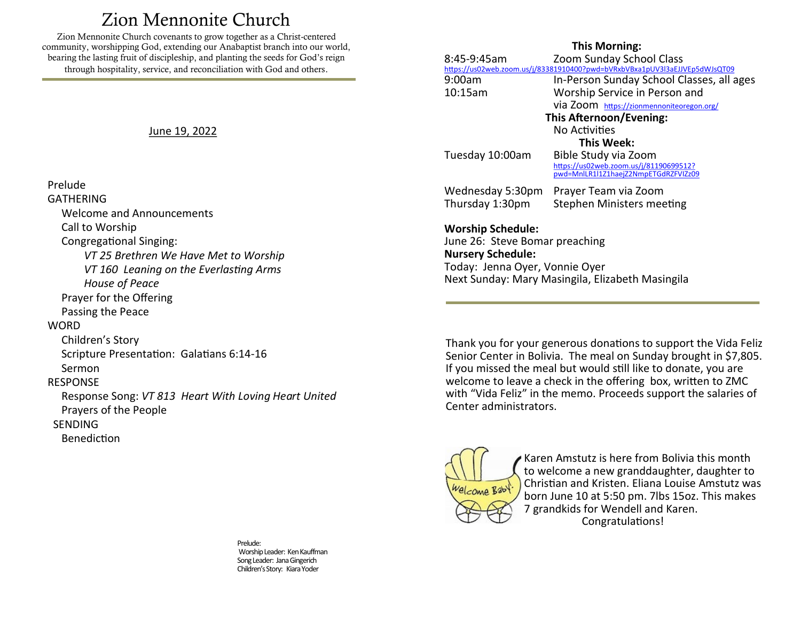# Zion Mennonite Church

<span id="page-0-0"></span>Zion Mennonite Church covenants to grow together as a Christ-centered community, worshipping God, extending our Anabaptist branch into our world, bearing the lasting fruit of discipleship, and planting the seeds for God's reign through hospitality, service, and reconciliation with God and others.

June 19, 2022

#### Prelude

**GATHERING**  Welcome and Announcements Call to Worship Congregational Singing: *VT 25 Brethren We Have Met to Worship VT 160 Leaning on the Everlasting Arms House of Peace* Prayer for the Offering Passing the Peace **WORD**  Children's Story Scripture Presentation: Galatians 6:14-16 Sermon RESPONSE Response Song: *VT 813 Heart With Loving Heart United* Prayers of the People **SENDING** Benediction

> Prelude: Worship Leader: Ken Kauffman Song Leader: Jana Gingerich Children's Story: Kiara Yoder

#### **This Morning:**

|                                                                                                                                                                              | 8:45-9:45am      | Zoom Sunday School Class                                                                               |
|------------------------------------------------------------------------------------------------------------------------------------------------------------------------------|------------------|--------------------------------------------------------------------------------------------------------|
|                                                                                                                                                                              |                  | https://us02web.zoom.us/j/83381910400?pwd=bVRxbVBxa1pUV3l3aEJJVEp5dWJsQT09                             |
|                                                                                                                                                                              | 9:00am           | In-Person Sunday School Classes, all ages                                                              |
|                                                                                                                                                                              | 10:15am          | Worship Service in Person and                                                                          |
|                                                                                                                                                                              |                  | via Zoom https://zionmennoniteoregon.org/                                                              |
| This Afternoon/Evening:                                                                                                                                                      |                  |                                                                                                        |
|                                                                                                                                                                              |                  | No Activities                                                                                          |
| This Week:                                                                                                                                                                   |                  |                                                                                                        |
|                                                                                                                                                                              | Tuesday 10:00am  | Bible Study via Zoom<br>https://us02web.zoom.us/j/81190699512?<br>pwd=MnlLR1l1Z1haejZ2NmpETGdRZFVIZz09 |
|                                                                                                                                                                              | Wednesday 5:30pm | Prayer Team via Zoom                                                                                   |
|                                                                                                                                                                              | Thursday 1:30pm  | Stephen Ministers meeting                                                                              |
| <b>Worship Schedule:</b><br>June 26: Steve Bomar preaching<br><b>Nursery Schedule:</b><br>Today: Jenna Oyer, Vonnie Oyer<br>Next Sunday: Mary Masingila, Elizabeth Masingila |                  |                                                                                                        |

Thank you for your generous donations to support the Vida Feliz Senior Center in Bolivia. The meal on Sunday brought in \$7,805. If you missed the meal but would still like to donate, you are welcome to leave a check in the offering box, written to ZMC with "Vida Feliz" in the memo. Proceeds support the salaries of Center administrators.



Karen Amstutz is here from Bolivia this month to welcome a new granddaughter, daughter to Christian and Kristen. Eliana Louise Amstutz was born June 10 at 5:50 pm. 7lbs 15oz. This makes 7 grandkids for Wendell and Karen. Congratulations!